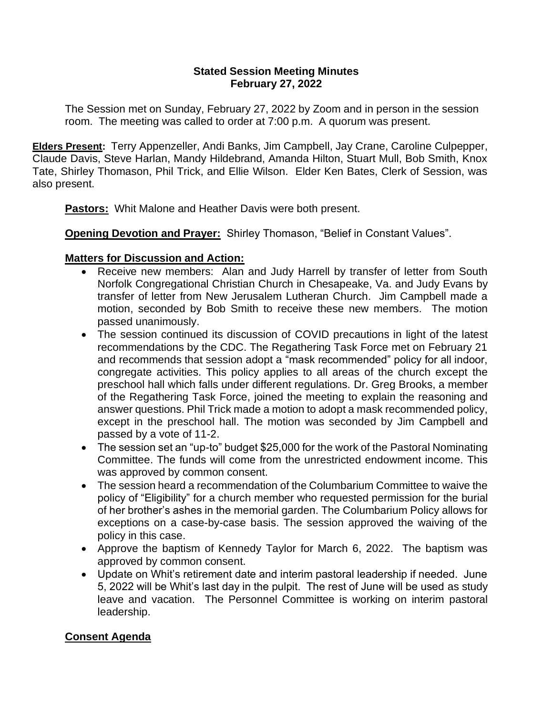#### **Stated Session Meeting Minutes February 27, 2022**

The Session met on Sunday, February 27, 2022 by Zoom and in person in the session room. The meeting was called to order at 7:00 p.m. A quorum was present.

**Elders Present:** Terry Appenzeller, Andi Banks, Jim Campbell, Jay Crane, Caroline Culpepper, Claude Davis, Steve Harlan, Mandy Hildebrand, Amanda Hilton, Stuart Mull, Bob Smith, Knox Tate, Shirley Thomason, Phil Trick, and Ellie Wilson. Elder Ken Bates, Clerk of Session, was also present.

**Pastors:** Whit Malone and Heather Davis were both present.

**Opening Devotion and Prayer:** Shirley Thomason, "Belief in Constant Values".

# **Matters for Discussion and Action:**

- Receive new members: Alan and Judy Harrell by transfer of letter from South Norfolk Congregational Christian Church in Chesapeake, Va. and Judy Evans by transfer of letter from New Jerusalem Lutheran Church. Jim Campbell made a motion, seconded by Bob Smith to receive these new members. The motion passed unanimously.
- The session continued its discussion of COVID precautions in light of the latest recommendations by the CDC. The Regathering Task Force met on February 21 and recommends that session adopt a "mask recommended" policy for all indoor, congregate activities. This policy applies to all areas of the church except the preschool hall which falls under different regulations. Dr. Greg Brooks, a member of the Regathering Task Force, joined the meeting to explain the reasoning and answer questions. Phil Trick made a motion to adopt a mask recommended policy, except in the preschool hall. The motion was seconded by Jim Campbell and passed by a vote of 11-2.
- The session set an "up-to" budget \$25,000 for the work of the Pastoral Nominating Committee. The funds will come from the unrestricted endowment income. This was approved by common consent.
- The session heard a recommendation of the Columbarium Committee to waive the policy of "Eligibility" for a church member who requested permission for the burial of her brother's ashes in the memorial garden. The Columbarium Policy allows for exceptions on a case-by-case basis. The session approved the waiving of the policy in this case.
- Approve the baptism of Kennedy Taylor for March 6, 2022. The baptism was approved by common consent.
- Update on Whit's retirement date and interim pastoral leadership if needed. June 5, 2022 will be Whit's last day in the pulpit. The rest of June will be used as study leave and vacation. The Personnel Committee is working on interim pastoral leadership.

# **Consent Agenda**